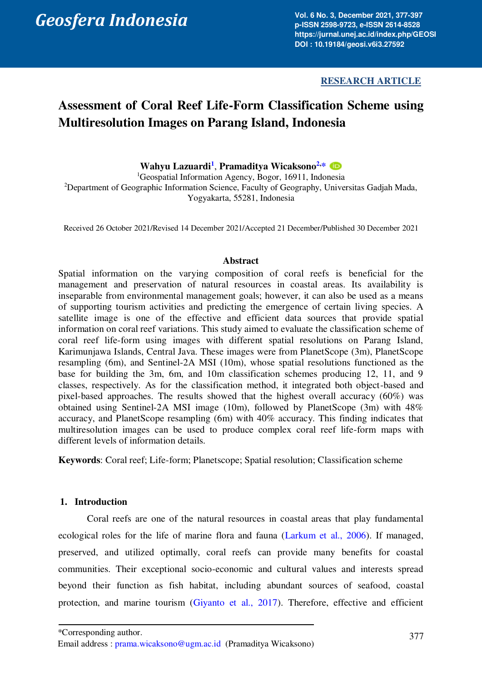*Geosfera Indonesia* 

**Vol. 6 No. 3, December 2021, 377-397 p-ISSN 2598-9723, e-ISSN 2614-8528 https://jurnal.unej.ac.id/index.php/GEOSI DOI : 10.19184/geosi.v6i3.27592** 

## **RESEARCH ARTICLE**

# **Assessment of Coral Reef Life-Form Classification Scheme using Multiresolution Images on Parang Island, Indonesia**

**Wahyu Lazuardi[1](#page-0-0)** , **Pramaditya Wicaksono[2,](#page-0-1) [\\*](#page-0-2)** 

<span id="page-0-1"></span><span id="page-0-0"></span><sup>1</sup>Geospatial Information Agency, Bogor, 16911, Indonesia <sup>2</sup>Department of Geographic Information Science, Faculty of Geography, Universitas Gadjah Mada, Yogyakarta, 55281, Indonesia

Received 26 October 2021/Revised 14 December 2021/Accepted 21 December/Published 30 December 2021

## **Abstract**

Spatial information on the varying composition of coral reefs is beneficial for the management and preservation of natural resources in coastal areas. Its availability is inseparable from environmental management goals; however, it can also be used as a means of supporting tourism activities and predicting the emergence of certain living species. A satellite image is one of the effective and efficient data sources that provide spatial information on coral reef variations. This study aimed to evaluate the classification scheme of coral reef life-form using images with different spatial resolutions on Parang Island, Karimunjawa Islands, Central Java. These images were from PlanetScope (3m), PlanetScope resampling (6m), and Sentinel-2A MSI (10m), whose spatial resolutions functioned as the base for building the 3m, 6m, and 10m classification schemes producing 12, 11, and 9 classes, respectively. As for the classification method, it integrated both object-based and pixel-based approaches. The results showed that the highest overall accuracy (60%) was obtained using Sentinel-2A MSI image (10m), followed by PlanetScope (3m) with 48% accuracy, and PlanetScope resampling (6m) with 40% accuracy. This finding indicates that multiresolution images can be used to produce complex coral reef life-form maps with different levels of information details.

**Keywords**: Coral reef; Life-form; Planetscope; Spatial resolution; Classification scheme

## **1. Introduction**

Coral reefs are one of the natural resources in coastal areas that play fundamental ecological roles for the life of marine flora and fauna [\(Larkum et al., 2006\)](#page-18-0). If managed, preserved, and utilized optimally, coral reefs can provide many benefits for coastal communities. Their exceptional socio-economic and cultural values and interests spread beyond their function as fish habitat, including abundant sources of seafood, coastal protection, and marine tourism [\(Giyanto et al., 2017\)](#page-17-0). Therefore, effective and efficient

<span id="page-0-2"></span><sup>\*</sup>Corresponding author.

Email address : [prama.wicaksono@ugm.ac.id](mailto:prama.wicaksono@ugm.ac.id) (Pramaditya Wicaksono)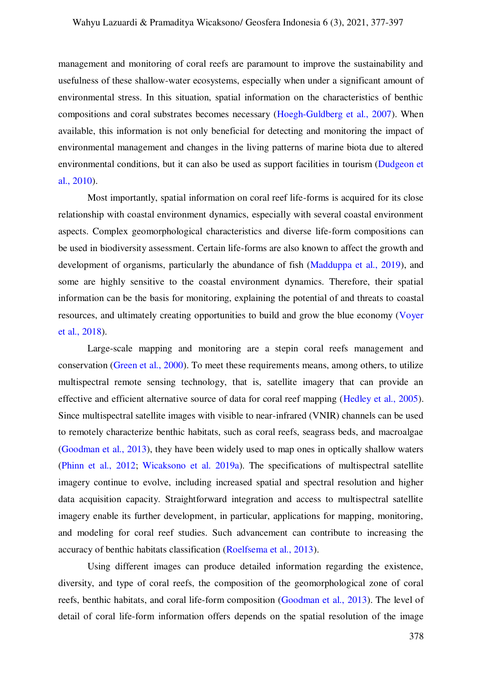management and monitoring of coral reefs are paramount to improve the sustainability and usefulness of these shallow-water ecosystems, especially when under a significant amount of environmental stress. In this situation, spatial information on the characteristics of benthic compositions and coral substrates becomes necessary [\(Hoegh-Guldberg et al., 2007\)](#page-17-1). When available, this information is not only beneficial for detecting and monitoring the impact of environmental management and changes in the living patterns of marine biota due to altered environmental conditions, but it can also be used as support facilities in tourism [\(Dudgeon et](#page-17-2)  [al., 2010\)](#page-17-2).

Most importantly, spatial information on coral reef life-forms is acquired for its close relationship with coastal environment dynamics, especially with several coastal environment aspects. Complex geomorphological characteristics and diverse life-form compositions can be used in biodiversity assessment. Certain life-forms are also known to affect the growth and development of organisms, particularly the abundance of fish [\(Madduppa et al., 2019\)](#page-18-1), and some are highly sensitive to the coastal environment dynamics. Therefore, their spatial information can be the basis for monitoring, explaining the potential of and threats to coastal resources, and ultimately creating opportunities to build and grow the blue economy [\(Voyer](#page-19-0)  [et al., 2018\)](#page-19-0).

Large-scale mapping and monitoring are a stepin coral reefs management and conservation [\(Green et al., 2000\)](#page-17-3). To meet these requirements means, among others, to utilize multispectral remote sensing technology, that is, satellite imagery that can provide an effective and efficient alternative source of data for coral reef mapping [\(Hedley et al., 2005\)](#page-17-4). Since multispectral satellite images with visible to near-infrared (VNIR) channels can be used to remotely characterize benthic habitats, such as coral reefs, seagrass beds, and macroalgae [\(Goodman et al., 2013\)](#page-17-5), they have been widely used to map ones in optically shallow waters [\(Phinn et al., 2012;](#page-18-2) [Wicaksono et al. 2019a\)](#page-19-1). The specifications of multispectral satellite imagery continue to evolve, including increased spatial and spectral resolution and higher data acquisition capacity. Straightforward integration and access to multispectral satellite imagery enable its further development, in particular, applications for mapping, monitoring, and modeling for coral reef studies. Such advancement can contribute to increasing the accuracy of benthic habitats classification [\(Roelfsema et al., 2013\)](#page-19-2).

Using different images can produce detailed information regarding the existence, diversity, and type of coral reefs, the composition of the geomorphological zone of coral reefs, benthic habitats, and coral life-form composition [\(Goodman et al., 2013\)](#page-17-5). The level of detail of coral life-form information offers depends on the spatial resolution of the image

378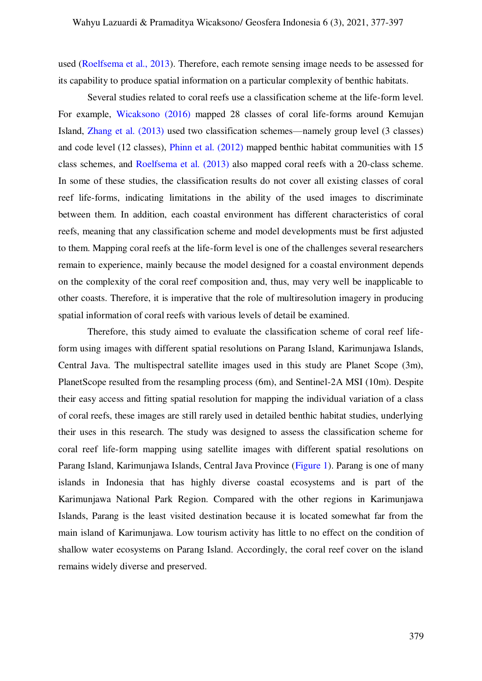used [\(Roelfsema et al., 2013\)](#page-19-2). Therefore, each remote sensing image needs to be assessed for its capability to produce spatial information on a particular complexity of benthic habitats.

<span id="page-2-0"></span>Several studies related to coral reefs use a classification scheme at the life-form level. For example, [Wicaksono \(2016\)](#page-19-3) mapped 28 classes of coral life-forms around Kemujan Island, [Zhang et al. \(2013\)](#page-2-0) used two classification schemes—namely group level (3 classes) and code level (12 classes), [Phinn et al. \(2012\)](#page-18-2) mapped benthic habitat communities with 15 class schemes, and [Roelfsema et al. \(2013\)](#page-19-2) also mapped coral reefs with a 20-class scheme. In some of these studies, the classification results do not cover all existing classes of coral reef life-forms, indicating limitations in the ability of the used images to discriminate between them. In addition, each coastal environment has different characteristics of coral reefs, meaning that any classification scheme and model developments must be first adjusted to them. Mapping coral reefs at the life-form level is one of the challenges several researchers remain to experience, mainly because the model designed for a coastal environment depends on the complexity of the coral reef composition and, thus, may very well be inapplicable to other coasts. Therefore, it is imperative that the role of multiresolution imagery in producing spatial information of coral reefs with various levels of detail be examined.

<span id="page-2-1"></span>Therefore, this study aimed to evaluate the classification scheme of coral reef lifeform using images with different spatial resolutions on Parang Island, Karimunjawa Islands, Central Java. The multispectral satellite images used in this study are Planet Scope (3m), PlanetScope resulted from the resampling process (6m), and Sentinel-2A MSI (10m). Despite their easy access and fitting spatial resolution for mapping the individual variation of a class of coral reefs, these images are still rarely used in detailed benthic habitat studies, underlying their uses in this research. The study was designed to assess the classification scheme for coral reef life-form mapping using satellite images with different spatial resolutions on Parang Island, Karimunjawa Islands, Central Java Province [\(Figure 1\)](#page-2-1). Parang is one of many islands in Indonesia that has highly diverse coastal ecosystems and is part of the Karimunjawa National Park Region. Compared with the other regions in Karimunjawa Islands, Parang is the least visited destination because it is located somewhat far from the main island of Karimunjawa. Low tourism activity has little to no effect on the condition of shallow water ecosystems on Parang Island. Accordingly, the coral reef cover on the island remains widely diverse and preserved.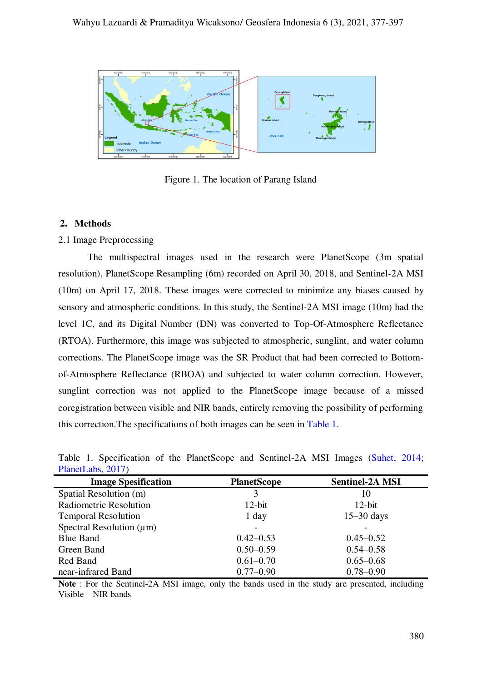

Figure 1. The location of Parang Island

## **2. Methods**

## 2.1 Image Preprocessing

The multispectral images used in the research were PlanetScope (3m spatial resolution), PlanetScope Resampling (6m) recorded on April 30, 2018, and Sentinel-2A MSI (10m) on April 17, 2018. These images were corrected to minimize any biases caused by sensory and atmospheric conditions. In this study, the Sentinel-2A MSI image (10m) had the level 1C, and its Digital Number (DN) was converted to Top-Of-Atmosphere Reflectance (RTOA). Furthermore, this image was subjected to atmospheric, sunglint, and water column corrections. The PlanetScope image was the SR Product that had been corrected to Bottomof-Atmosphere Reflectance (RBOA) and subjected to water column correction. However, sunglint correction was not applied to the PlanetScope image because of a missed coregistration between visible and NIR bands, entirely removing the possibility of performing this correction.The specifications of both images can be seen in [Table 1.](#page-3-0)

| <b>Image Spesification</b>    | <b>PlanetScope</b> | <b>Sentinel-2A MSI</b> |  |
|-------------------------------|--------------------|------------------------|--|
| Spatial Resolution (m)        | 3                  | 10                     |  |
| <b>Radiometric Resolution</b> | $12$ -bit          | $12$ -bit              |  |
| <b>Temporal Resolution</b>    | 1 day              | $15-30$ days           |  |
| Spectral Resolution $(\mu m)$ |                    |                        |  |
| <b>Blue Band</b>              | $0.42 - 0.53$      | $0.45 - 0.52$          |  |
| Green Band                    | $0.50 - 0.59$      | $0.54 - 0.58$          |  |
| Red Band                      | $0.61 - 0.70$      | $0.65 - 0.68$          |  |
| near-infrared Band            | $0.77 - 0.90$      | $0.78 - 0.90$          |  |
|                               |                    |                        |  |

<span id="page-3-0"></span>Table 1. Specification of the PlanetScope and Sentinel-2A MSI Images [\(Suhet, 2014;](#page-19-4) [PlanetLabs, 2017\)](#page-19-5)

**Note** : For the Sentinel-2A MSI image, only the bands used in the study are presented, including Visible – NIR bands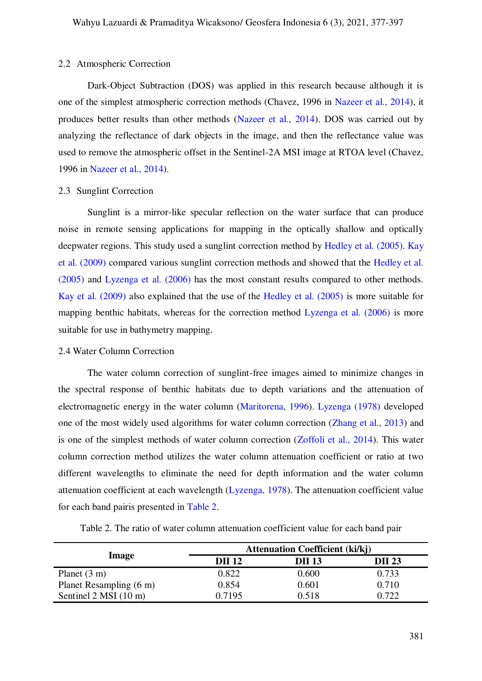#### 2.2 Atmospheric Correction

Dark-Object Subtraction (DOS) was applied in this research because although it is one of the simplest atmospheric correction methods (Chavez, 1996 in [Nazeer et al., 2014\)](#page-18-3), it produces better results than other methods [\(Nazeer et al., 2014\)](#page-18-3). DOS was carried out by analyzing the reflectance of dark objects in the image, and then the reflectance value was used to remove the atmospheric offset in the Sentinel-2A MSI image at RTOA level (Chavez, 1996 in [Nazeer et al., 2014\)](#page-18-3).

#### 2.3 Sunglint Correction

Sunglint is a mirror-like specular reflection on the water surface that can produce noise in remote sensing applications for mapping in the optically shallow and optically deepwater regions. This study used a sunglint correction method by [Hedley et al. \(2005\).](#page-17-4) [Kay](#page-18-4)  [et al. \(2009\)](#page-18-4) compared various sunglint correction methods and showed that the [Hedley et al.](#page-17-4)  [\(2005\)](#page-17-4) and [Lyzenga et al. \(2006\)](#page-18-5) has the most constant results compared to other methods. [Kay et al. \(2009\)](#page-18-4) also explained that the use of the [Hedley et al. \(2005\)](#page-17-4) is more suitable for mapping benthic habitats, whereas for the correction method [Lyzenga et al. \(2006\)](#page-18-5) is more suitable for use in bathymetry mapping.

## 2.4 Water Column Correction

The water column correction of sunglint-free images aimed to minimize changes in the spectral response of benthic habitats due to depth variations and the attenuation of electromagnetic energy in the water column [\(Maritorena, 1996\).](#page-18-6) [Lyzenga \(1978\)](#page-18-7) developed one of the most widely used algorithms for water column correction [\(Zhang et al., 2013\)](#page-2-0) and is one of the simplest methods of water column correction [\(Zoffoli et al., 2014\)](#page-20-0). This water column correction method utilizes the water column attenuation coefficient or ratio at two different wavelengths to eliminate the need for depth information and the water column attenuation coefficient at each wavelength [\(Lyzenga, 1978\)](#page-18-7). The attenuation coefficient value for each band pairis presented in [Table 2.](#page-4-0)

<span id="page-4-0"></span>

|                         | <b>Attenuation Coefficient (ki/kj)</b> |               |               |  |  |  |  |  |
|-------------------------|----------------------------------------|---------------|---------------|--|--|--|--|--|
| Image                   | DII 12                                 | <b>DII</b> 13 | <b>DII</b> 23 |  |  |  |  |  |
| Planet $(3 \text{ m})$  | 0.822                                  | 0.600         | 0.733         |  |  |  |  |  |
| Planet Resampling (6 m) | 0.854                                  | 0.601         | 0.710         |  |  |  |  |  |
| Sentinel 2 MSI (10 m)   | 0.7195                                 | 0.518         | 0.722         |  |  |  |  |  |

Table 2. The ratio of water column attenuation coefficient value for each band pair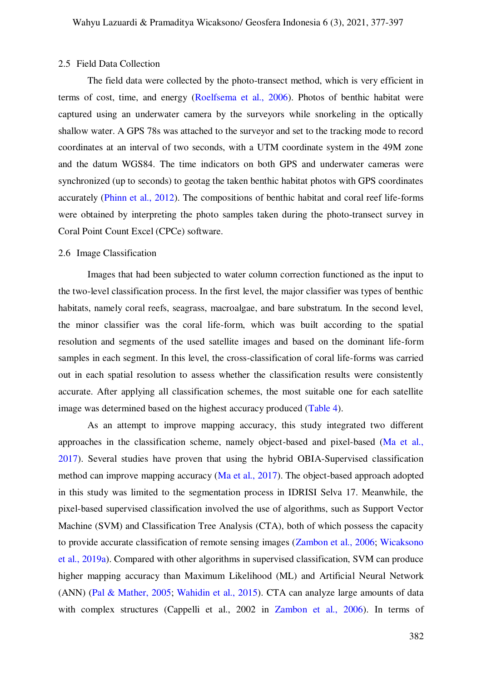#### 2.5 Field Data Collection

The field data were collected by the photo-transect method, which is very efficient in terms of cost, time, and energy [\(Roelfsema et al., 2006\)](#page-19-6). Photos of benthic habitat were captured using an underwater camera by the surveyors while snorkeling in the optically shallow water. A GPS 78s was attached to the surveyor and set to the tracking mode to record coordinates at an interval of two seconds, with a UTM coordinate system in the 49M zone and the datum WGS84. The time indicators on both GPS and underwater cameras were synchronized (up to seconds) to geotag the taken benthic habitat photos with GPS coordinates accurately [\(Phinn et al., 2012\)](#page-18-2). The compositions of benthic habitat and coral reef life-forms were obtained by interpreting the photo samples taken during the photo-transect survey in Coral Point Count Excel (CPCe) software.

# 2.6 Image Classification

Images that had been subjected to water column correction functioned as the input to the two-level classification process. In the first level, the major classifier was types of benthic habitats, namely coral reefs, seagrass, macroalgae, and bare substratum. In the second level, the minor classifier was the coral life-form, which was built according to the spatial resolution and segments of the used satellite images and based on the dominant life-form samples in each segment. In this level, the cross-classification of coral life-forms was carried out in each spatial resolution to assess whether the classification results were consistently accurate. After applying all classification schemes, the most suitable one for each satellite image was determined based on the highest accuracy produced [\(Table 4\)](#page-8-0).

As an attempt to improve mapping accuracy, this study integrated two different approaches in the classification scheme, namely object-based and pixel-based [\(Ma et al.,](#page-18-8)  [2017\)](#page-18-8). Several studies have proven that using the hybrid OBIA-Supervised classification method can improve mapping accuracy [\(Ma et al., 2017\)](#page-18-8). The object-based approach adopted in this study was limited to the segmentation process in IDRISI Selva 17. Meanwhile, the pixel-based supervised classification involved the use of algorithms, such as Support Vector Machine (SVM) and Classification Tree Analysis (CTA), both of which possess the capacity to provide accurate classification of remote sensing images [\(Zambon et al., 2006;](#page-19-7) [Wicaksono](#page-19-1)  [et al., 2019a\)](#page-19-1). Compared with other algorithms in supervised classification, SVM can produce higher mapping accuracy than Maximum Likelihood (ML) and Artificial Neural Network (ANN) [\(Pal & Mather, 2005;](#page-18-9) [Wahidin et al., 2015\)](#page-19-8). CTA can analyze large amounts of data with complex structures (Cappelli et al., 2002 in [Zambon et al., 2006\)](#page-19-7). In terms of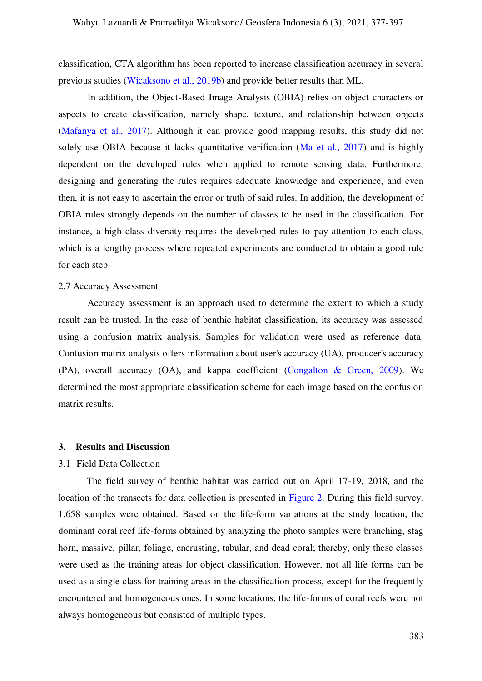classification, CTA algorithm has been reported to increase classification accuracy in several previous studies [\(Wicaksono et al., 2019b\)](#page-19-9) and provide better results than ML.

In addition, the Object-Based Image Analysis (OBIA) relies on object characters or aspects to create classification, namely shape, texture, and relationship between objects [\(Mafanya et al., 2017\)](#page-18-10). Although it can provide good mapping results, this study did not solely use OBIA because it lacks quantitative verification [\(Ma et al., 2017\)](#page-18-8) and is highly dependent on the developed rules when applied to remote sensing data. Furthermore, designing and generating the rules requires adequate knowledge and experience, and even then, it is not easy to ascertain the error or truth of said rules. In addition, the development of OBIA rules strongly depends on the number of classes to be used in the classification. For instance, a high class diversity requires the developed rules to pay attention to each class, which is a lengthy process where repeated experiments are conducted to obtain a good rule for each step.

#### 2.7 Accuracy Assessment

Accuracy assessment is an approach used to determine the extent to which a study result can be trusted. In the case of benthic habitat classification, its accuracy was assessed using a confusion matrix analysis. Samples for validation were used as reference data. Confusion matrix analysis offers information about user's accuracy (UA), producer's accuracy (PA), overall accuracy (OA), and kappa coefficient [\(Congalton & Green, 2009\)](#page-17-6). We determined the most appropriate classification scheme for each image based on the confusion matrix results.

#### **3. Results and Discussion**

#### 3.1 Field Data Collection

The field survey of benthic habitat was carried out on April 17-19, 2018, and the location of the transects for data collection is presented in [Figure 2.](#page-7-0) During this field survey, 1,658 samples were obtained. Based on the life-form variations at the study location, the dominant coral reef life-forms obtained by analyzing the photo samples were branching, stag horn, massive, pillar, foliage, encrusting, tabular, and dead coral; thereby, only these classes were used as the training areas for object classification. However, not all life forms can be used as a single class for training areas in the classification process, except for the frequently encountered and homogeneous ones. In some locations, the life-forms of coral reefs were not always homogeneous but consisted of multiple types.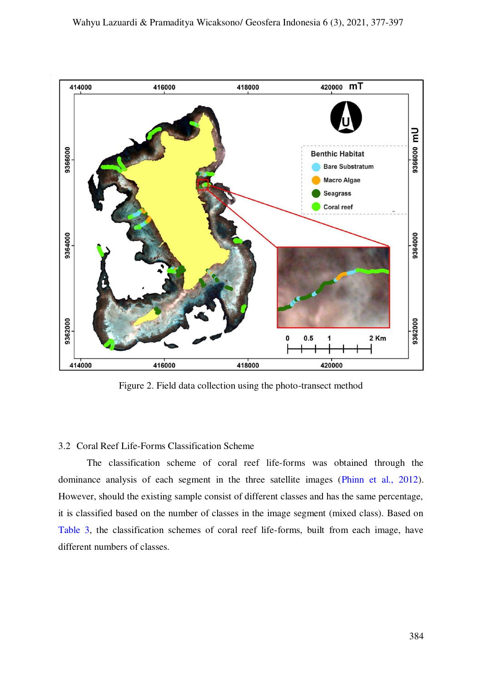

Figure 2. Field data collection using the photo-transect method

## <span id="page-7-0"></span>3.2 Coral Reef Life-Forms Classification Scheme

The classification scheme of coral reef life-forms was obtained through the dominance analysis of each segment in the three satellite images [\(Phinn et al., 2012\)](#page-18-2). However, should the existing sample consist of different classes and has the same percentage, it is classified based on the number of classes in the image segment (mixed class). Based on [Table 3,](#page-8-1) the classification schemes of coral reef life-forms, built from each image, have different numbers of classes.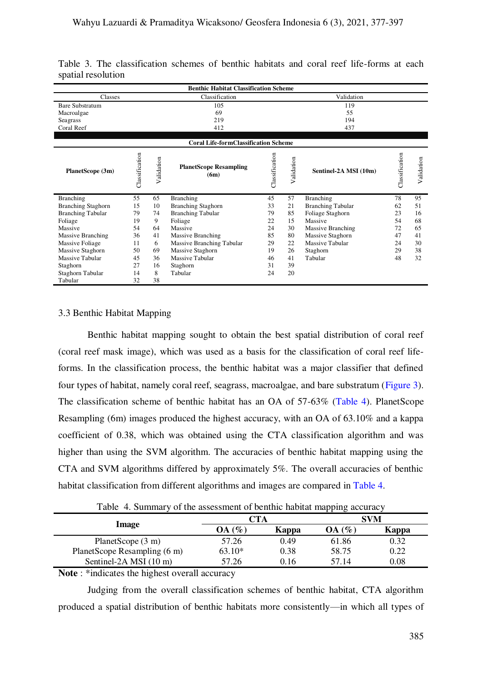|                           |                |                | <b>Benthic Habitat Classification Scheme</b> |                |            |                          |                |                |
|---------------------------|----------------|----------------|----------------------------------------------|----------------|------------|--------------------------|----------------|----------------|
| Classes                   |                |                | Classification                               |                |            | Validation               |                |                |
| Bare Substratum           |                |                | 105                                          |                |            | 119                      |                |                |
| Macroalgae                |                |                | 69                                           |                |            | 55                       |                |                |
| Seagrass                  |                |                | 219                                          |                |            | 194                      |                |                |
| Coral Reef                |                |                | 412                                          |                |            | 437                      |                |                |
|                           |                |                | <b>Coral Life-formClassification Scheme</b>  |                |            |                          |                |                |
| PlanetScope (3m)          | Classification | alidation<br>⋗ | <b>PlanetScope Resampling</b><br>(6m)        | Classification | Validation | Sentinel-2A MSI (10m)    | Classification | alidation<br>⊳ |
| <b>Branching</b>          | 55             | 65             | <b>Branching</b>                             | 45             | 57         | Branching                | 78             | 95             |
| <b>Branching Staghorn</b> | 15             | 10             | <b>Branching Staghorn</b>                    | 33             | 21         | <b>Branching Tabular</b> | 62             | 51             |
| <b>Branching Tabular</b>  | 79             | 74             | <b>Branching Tabular</b>                     | 79             | 85         | Foliage Staghorn         | 23             | 16             |
| Foliage                   | 19             | 9              | Foliage                                      | 22             | 15         | Massive                  | 54             | 68             |
| Massive                   | 54             | 64             | Massive                                      | 24             | 30         | <b>Massive Branching</b> | 72             | 65             |
| <b>Massive Branching</b>  | 36             | 41             | <b>Massive Branching</b>                     | 85             | 80         | Massive Staghorn         | 47             | 41             |
| Massive Foliage           | 11             | 6              | Massive Branching Tabular                    | 29             | 22         | Massive Tabular          | 24             | 30             |
| Massive Staghorn          | 50             | 69             | Massive Staghorn                             | 19             | 26         | Staghorn                 | 29             | 38             |
| Massive Tabular           | 45             | 36             | Massive Tabular                              | 46             | 41         | Tabular                  | 48             | 32             |
| Staghorn                  | 27             | 16             | Staghorn                                     | 31             | 39         |                          |                |                |
| Staghorn Tabular          | 14             | 8              | Tabular                                      | 24             | 20         |                          |                |                |
| Tabular                   | 32             | 38             |                                              |                |            |                          |                |                |

<span id="page-8-1"></span>Table 3. The classification schemes of benthic habitats and coral reef life-forms at each spatial resolution

# 3.3 Benthic Habitat Mapping

Benthic habitat mapping sought to obtain the best spatial distribution of coral reef (coral reef mask image), which was used as a basis for the classification of coral reef lifeforms. In the classification process, the benthic habitat was a major classifier that defined four types of habitat, namely coral reef, seagrass, macroalgae, and bare substratum [\(Figure 3\)](#page-9-0). The classification scheme of benthic habitat has an OA of 57-63% [\(Table 4\)](#page-8-0). PlanetScope Resampling (6m) images produced the highest accuracy, with an OA of 63.10% and a kappa coefficient of 0.38, which was obtained using the CTA classification algorithm and was higher than using the SVM algorithm. The accuracies of benthic habitat mapping using the CTA and SVM algorithms differed by approximately 5%. The overall accuracies of benthic habitat classification from different algorithms and images are compared in [Table 4.](#page-8-0)

Table 4. Summary of the assessment of benthic habitat mapping accuracy

<span id="page-8-0"></span>

|                              | CTA      |       |        | <b>SVM</b> |  |  |  |
|------------------------------|----------|-------|--------|------------|--|--|--|
| <b>Image</b>                 | OA(%     | Kappa | OA (%` | Kappa      |  |  |  |
| PlanetScope $(3 \text{ m})$  | 57.26    | 0.49  | 61.86  | 0.32       |  |  |  |
| PlanetScope Resampling (6 m) | $63.10*$ | 0.38  | 58.75  | 0.22       |  |  |  |
| Sentinel-2A MSI (10 m)       | 57.26    | 0.16  | 57.14  | 0.08       |  |  |  |
| $\blacksquare$<br>-11        |          |       |        |            |  |  |  |

**Note** : \*indicates the highest overall accuracy

Judging from the overall classification schemes of benthic habitat, CTA algorithm produced a spatial distribution of benthic habitats more consistently—in which all types of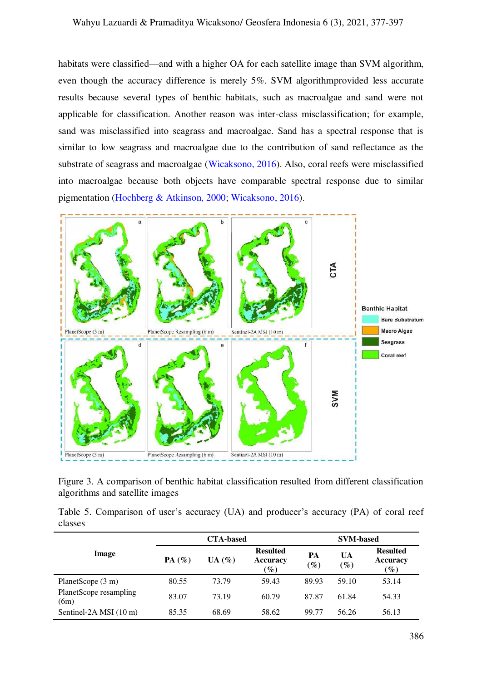habitats were classified—and with a higher OA for each satellite image than SVM algorithm, even though the accuracy difference is merely 5%. SVM algorithmprovided less accurate results because several types of benthic habitats, such as macroalgae and sand were not applicable for classification. Another reason was inter-class misclassification; for example, sand was misclassified into seagrass and macroalgae. Sand has a spectral response that is similar to low seagrass and macroalgae due to the contribution of sand reflectance as the substrate of seagrass and macroalgae [\(Wicaksono, 2016\)](#page-19-3). Also, coral reefs were misclassified into macroalgae because both objects have comparable spectral response due to similar pigmentation [\(Hochberg & Atkinson, 2000;](#page-17-7) [Wicaksono, 2016\)](#page-19-3).



<span id="page-9-0"></span>Figure 3. A comparison of benthic habitat classification resulted from different classification algorithms and satellite images

<span id="page-9-1"></span>Table 5. Comparison of user's accuracy (UA) and producer's accuracy (PA) of coral reef classes

|                                |          | <b>CTA-based</b> |                                                       | <b>SVM-based</b>      |              |                                       |  |
|--------------------------------|----------|------------------|-------------------------------------------------------|-----------------------|--------------|---------------------------------------|--|
| Image                          | $PA(\%)$ | $UA(\%)$         | <b>Resulted</b><br><b>Accuracy</b><br>$\mathscr{G}_o$ | PA<br>$\mathscr{G}_o$ | UA<br>$(\%)$ | <b>Resulted</b><br>Accuracy<br>$(\%)$ |  |
| PlanetScope (3 m)              | 80.55    | 73.79            | 59.43                                                 | 89.93                 | 59.10        | 53.14                                 |  |
| PlanetScope resampling<br>(6m) | 83.07    | 73.19            | 60.79                                                 | 87.87                 | 61.84        | 54.33                                 |  |
| Sentinel-2A MSI (10 m)         | 85.35    | 68.69            | 58.62                                                 | 99.77                 | 56.26        | 56.13                                 |  |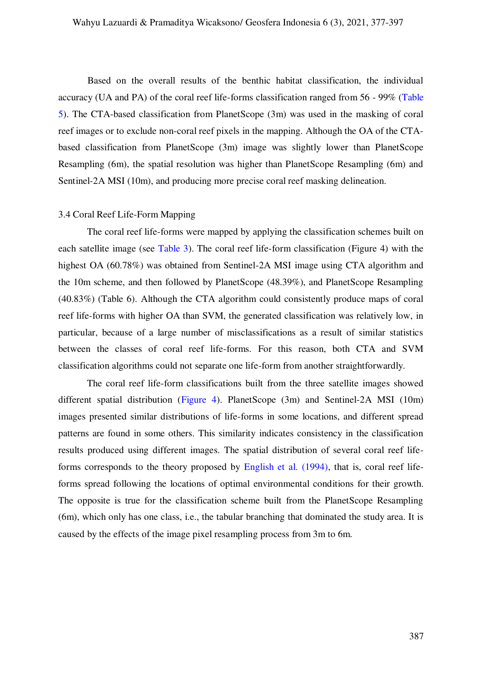Based on the overall results of the benthic habitat classification, the individual accuracy (UA and PA) of the coral reef life-forms classification ranged from 56 - 99% [\(Table](#page-9-1)  [5\)](#page-9-1). The CTA-based classification from PlanetScope (3m) was used in the masking of coral reef images or to exclude non-coral reef pixels in the mapping. Although the OA of the CTAbased classification from PlanetScope (3m) image was slightly lower than PlanetScope Resampling (6m), the spatial resolution was higher than PlanetScope Resampling (6m) and Sentinel-2A MSI (10m), and producing more precise coral reef masking delineation.

#### 3.4 Coral Reef Life-Form Mapping

The coral reef life-forms were mapped by applying the classification schemes built on each satellite image (see [Table 3\)](#page-8-1). The coral reef life-form classification (Figure 4) with the highest OA (60.78%) was obtained from Sentinel-2A MSI image using CTA algorithm and the 10m scheme, and then followed by PlanetScope (48.39%), and PlanetScope Resampling (40.83%) (Table 6). Although the CTA algorithm could consistently produce maps of coral reef life-forms with higher OA than SVM, the generated classification was relatively low, in particular, because of a large number of misclassifications as a result of similar statistics between the classes of coral reef life-forms. For this reason, both CTA and SVM classification algorithms could not separate one life-form from another straightforwardly.

<span id="page-10-0"></span>The coral reef life-form classifications built from the three satellite images showed different spatial distribution [\(Figure 4\)](#page-10-0). PlanetScope (3m) and Sentinel-2A MSI (10m) images presented similar distributions of life-forms in some locations, and different spread patterns are found in some others. This similarity indicates consistency in the classification results produced using different images. The spatial distribution of several coral reef lifeforms corresponds to the theory proposed by [English et al. \(1994\),](#page-17-8) that is, coral reef lifeforms spread following the locations of optimal environmental conditions for their growth. The opposite is true for the classification scheme built from the PlanetScope Resampling (6m), which only has one class, i.e., the tabular branching that dominated the study area. It is caused by the effects of the image pixel resampling process from 3m to 6m.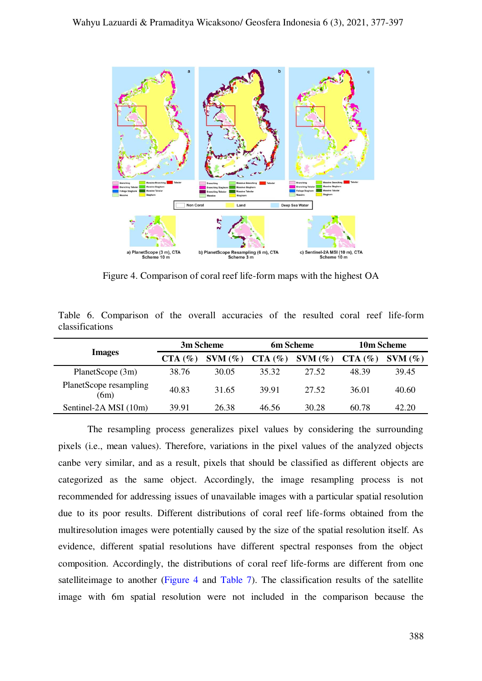

<span id="page-11-0"></span>Figure 4. Comparison of coral reef life-form maps with the highest OA

Table 6. Comparison of the overall accuracies of the resulted coral reef life-form classifications

|                                |           | 3m Scheme |           | 6m Scheme | 10m Scheme |           |  |
|--------------------------------|-----------|-----------|-----------|-----------|------------|-----------|--|
| <b>Images</b>                  | $CTA$ (%) | $SVM$ (%) | $CTA$ (%) | $SVM$ (%) | $CTA$ (%)  | $SWM(\%)$ |  |
| PlanetScope (3m)               | 38.76     | 30.05     | 35.32     | 27.52     | 48.39      | 39.45     |  |
| PlanetScope resampling<br>(6m) | 40.83     | 31.65     | 39.91     | 27.52     | 36.01      | 40.60     |  |
| Sentinel-2A MSI (10m)          | 39.91     | 26.38     | 46.56     | 30.28     | 60.78      | 42.20     |  |

The resampling process generalizes pixel values by considering the surrounding pixels (i.e., mean values). Therefore, variations in the pixel values of the analyzed objects canbe very similar, and as a result, pixels that should be classified as different objects are categorized as the same object. Accordingly, the image resampling process is not recommended for addressing issues of unavailable images with a particular spatial resolution due to its poor results. Different distributions of coral reef life-forms obtained from the multiresolution images were potentially caused by the size of the spatial resolution itself. As evidence, different spatial resolutions have different spectral responses from the object composition. Accordingly, the distributions of coral reef life-forms are different from one satelliteimage to another [\(Figure 4](#page-10-0) and [Table 7\)](#page-12-0). The classification results of the satellite image with 6m spatial resolution were not included in the comparison because the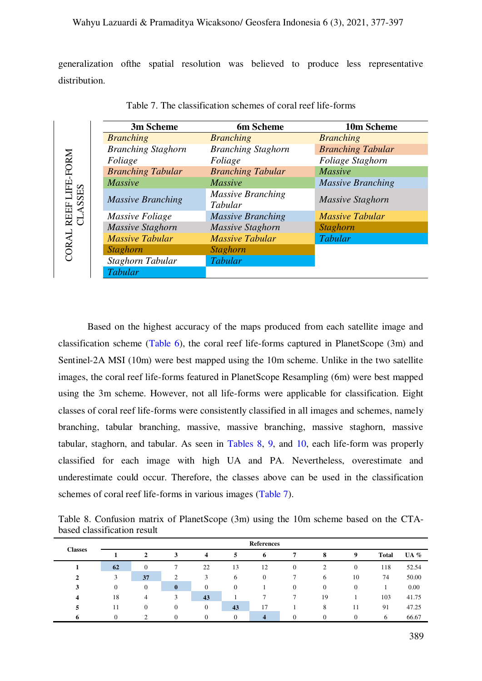generalization ofthe spatial resolution was believed to produce less representative distribution.

<span id="page-12-0"></span>

|                           | 3m Scheme                 | 6m Scheme                           | 10m Scheme               |
|---------------------------|---------------------------|-------------------------------------|--------------------------|
|                           | <b>Branching</b>          | <b>Branching</b>                    | <b>Branching</b>         |
|                           | <b>Branching Staghorn</b> | <b>Branching Staghorn</b>           | <b>Branching Tabular</b> |
|                           | Foliage                   | Foliage                             | Foliage Staghorn         |
|                           | <b>Branching Tabular</b>  | <b>Branching Tabular</b>            | <b>Massive</b>           |
|                           | <b>Massive</b>            | <b>Massive</b>                      | <b>Massive Branching</b> |
| REEF LIFE-FORM<br>CLASSES | <b>Massive Branching</b>  | <b>Massive Branching</b><br>Tabular | Massive Staghorn         |
|                           | Massive Foliage           | <b>Massive Branching</b>            | <b>Massive Tabular</b>   |
|                           | <b>Massive Staghorn</b>   | Massive Staghorn                    | <b>Staghorn</b>          |
| CORAL                     | <b>Massive Tabular</b>    | <b>Massive Tabular</b>              | <b>Tabular</b>           |
|                           | <b>Staghorn</b>           | <b>Staghorn</b>                     |                          |
|                           | Staghorn Tabular          | <b>Tabular</b>                      |                          |
|                           | <b>Tabular</b>            |                                     |                          |

Table 7. The classification schemes of coral reef life-forms

Based on the highest accuracy of the maps produced from each satellite image and classification scheme [\(Table 6\)](#page-11-0), the coral reef life-forms captured in PlanetScope (3m) and Sentinel-2A MSI (10m) were best mapped using the 10m scheme. Unlike in the two satellite images, the coral reef life-forms featured in PlanetScope Resampling (6m) were best mapped using the 3m scheme. However, not all life-forms were applicable for classification. Eight classes of coral reef life-forms were consistently classified in all images and schemes, namely branching, tabular branching, massive, massive branching, massive staghorn, massive tabular, staghorn, and tabular. As seen in [Tables 8,](#page-12-1) [9,](#page-13-0) and [10,](#page-13-1) each life-form was properly classified for each image with high UA and PA. Nevertheless, overestimate and underestimate could occur. Therefore, the classes above can be used in the classification schemes of coral reef life-forms in various images [\(Table 7\)](#page-12-0).

<span id="page-12-1"></span>Table 8. Confusion matrix of PlanetScope (3m) using the 10m scheme based on the CTAbased classification result

| <b>Classes</b> |              | <b>References</b> |                |                         |              |              |                |              |              |              |        |  |  |
|----------------|--------------|-------------------|----------------|-------------------------|--------------|--------------|----------------|--------------|--------------|--------------|--------|--|--|
|                |              | 2                 | 3              | $\overline{\mathbf{4}}$ | 5            | 0            | 7              | 8            | 9            | <b>Total</b> | UA $%$ |  |  |
|                | 62           | $\mathbf{0}$      |                | 22                      | 13           | 12           | $\overline{0}$ | 2            | $\mathbf{0}$ | 118          | 52.54  |  |  |
| $\mathbf{2}$   | 3            | 37                | $\overline{c}$ | 3                       | 6            | $\mathbf{0}$ |                | 6            | 10           | 74           | 50.00  |  |  |
| 3              | $\mathbf{0}$ | $\mathbf{0}$      | $\mathbf{0}$   | $\mathbf{0}$            | $\Omega$     |              | $\overline{0}$ | $\mathbf{0}$ | $\Omega$     |              | 0.00   |  |  |
| 4              | 18           | $\overline{4}$    | 3              | 43                      |              |              | π              | 19           |              | 103          | 41.75  |  |  |
| 5              | 11           | $\mathbf{0}$      | $\Omega$       | $\mathbf{0}$            | 43           | 17           |                | 8            | 11           | 91           | 47.25  |  |  |
| 6              | $\Omega$     |                   | $\Omega$       | $\mathbf{0}$            | $\mathbf{0}$ | 4            | 0              | $\Omega$     | $\Omega$     | $\sigma$     | 66.67  |  |  |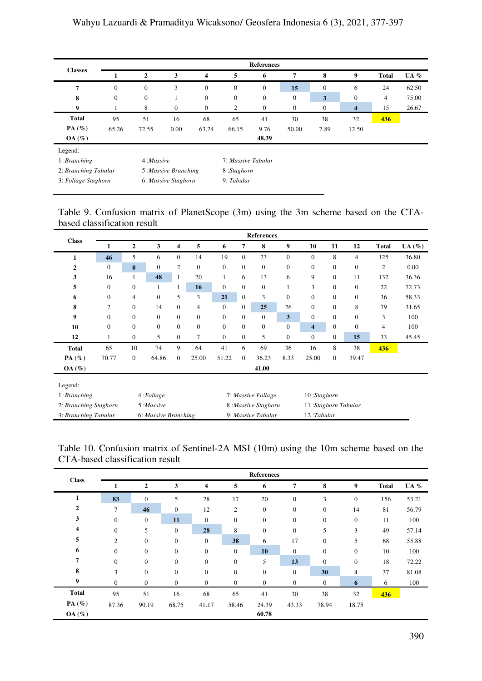| <b>Classes</b>       |              |                  |                      |                         |                    | <b>References</b> |              |                |                         |              |        |
|----------------------|--------------|------------------|----------------------|-------------------------|--------------------|-------------------|--------------|----------------|-------------------------|--------------|--------|
|                      |              | $\overline{2}$   | 3                    | $\overline{\mathbf{4}}$ | 5                  | 6                 | 7            | 8              | 9                       | <b>Total</b> | UA $%$ |
| 7                    | $\mathbf{0}$ | $\boldsymbol{0}$ | 3                    | $\boldsymbol{0}$        | $\mathbf{0}$       | $\mathbf{0}$      | 15           | $\overline{0}$ | 6                       | 24           | 62.50  |
| 8                    | $\mathbf{0}$ | $\boldsymbol{0}$ |                      | $\boldsymbol{0}$        | $\boldsymbol{0}$   | $\boldsymbol{0}$  | $\mathbf{0}$ | 3              | $\mathbf{0}$            | 4            | 75.00  |
| 9                    | ш            | 8                | $\boldsymbol{0}$     | $\mathbf{0}$            | 2                  | $\mathbf{0}$      | $\mathbf{0}$ | $\mathbf{0}$   | $\overline{\mathbf{4}}$ | 15           | 26.67  |
| <b>Total</b>         | 95           | 51               | 16                   | 68                      | 65                 | 41                | 30           | 38             | 32                      | 436          |        |
| PA(%)                | 65.26        | 72.55            | 0.00                 | 63.24                   | 66.15              | 9.76              | 50.00        | 7.89           | 12.50                   |              |        |
| OA(%)                |              |                  |                      |                         |                    | 48.39             |              |                |                         |              |        |
| Legend:              |              |                  |                      |                         |                    |                   |              |                |                         |              |        |
| 1:Branching          |              | 4: Massive       |                      |                         | 7: Massive Tabular |                   |              |                |                         |              |        |
| 2: Branching Tabular |              |                  | 5 :Massive Branching |                         | 8:Staghorn         |                   |              |                |                         |              |        |
| 3: Foliage Staghorn  |              |                  | 6: Massive Staghorn  |                         | 9: Tabular         |                   |              |                |                         |              |        |

<span id="page-13-0"></span>Table 9. Confusion matrix of PlanetScope (3m) using the 3m scheme based on the CTAbased classification result

| <b>Class</b>          |                  |              |                      |                |              |                  |                  | <b>References</b>   |              |                     |                  |                  |              |           |
|-----------------------|------------------|--------------|----------------------|----------------|--------------|------------------|------------------|---------------------|--------------|---------------------|------------------|------------------|--------------|-----------|
|                       |                  | $\mathbf{2}$ | 3                    | 4              | 5            | 6                | 7                | 8                   | 9            | 10                  | 11               | 12               | <b>Total</b> | $UA (\%)$ |
| 1                     | 46               | 5            | 6                    | $\overline{0}$ | 14           | 19               | $\boldsymbol{0}$ | 23                  | $\mathbf{0}$ | $\mathbf{0}$        | 8                | 4                | 125          | 36.80     |
| $\mathbf 2$           | $\mathbf{0}$     | $\bf{0}$     | $\overline{0}$       | 2              | $\mathbf{0}$ | $\mathbf{0}$     | $\mathbf{0}$     | $\mathbf{0}$        | $\mathbf{0}$ | $\mathbf{0}$        | $\overline{0}$   | $\mathbf{0}$     | 2            | 0.00      |
| 3                     | 16               | 1            | 48                   | 1              | 20           | 1                | 6                | 13                  | 6            | 9                   | $\mathbf{0}$     | 11               | 132          | 36.36     |
| 5                     | $\mathbf{0}$     | $\mathbf{0}$ | $\mathbf{1}$         |                | 16           | $\mathbf{0}$     | $\mathbf{0}$     | $\mathbf{0}$        | 1            | 3                   | $\mathbf{0}$     | $\boldsymbol{0}$ | 22           | 72.73     |
| 6                     | $\boldsymbol{0}$ | 4            | $\mathbf{0}$         | 5              | 3            | 21               | $\mathbf{0}$     | 3                   | $\mathbf{0}$ | $\boldsymbol{0}$    | $\mathbf{0}$     | $\boldsymbol{0}$ | 36           | 58.33     |
| 8                     | 2                | $\mathbf{0}$ | 14                   | $\mathbf{0}$   | 4            | $\boldsymbol{0}$ | $\boldsymbol{0}$ | 25                  | 26           | $\boldsymbol{0}$    | $\boldsymbol{0}$ | 8                | 79           | 31.65     |
| 9                     | $\overline{0}$   | $\mathbf{0}$ | $\mathbf{0}$         | $\mathbf{0}$   | $\mathbf{0}$ | $\mathbf{0}$     | $\mathbf{0}$     | $\mathbf{0}$        | 3            | $\mathbf{0}$        | $\mathbf{0}$     | $\mathbf{0}$     | 3            | 100       |
| 10                    | $\mathbf{0}$     | $\mathbf{0}$ | $\mathbf{0}$         | $\mathbf{0}$   | $\mathbf{0}$ | $\mathbf{0}$     | $\mathbf{0}$     | $\boldsymbol{0}$    | $\mathbf{0}$ | $\overline{4}$      | $\mathbf{0}$     | $\boldsymbol{0}$ | 4            | 100       |
| 12                    | 1                | $\mathbf{0}$ | 5                    | $\mathbf{0}$   | 7            | $\boldsymbol{0}$ | $\mathbf{0}$     | 5                   | $\mathbf{0}$ | $\mathbf{0}$        | $\mathbf{0}$     | 15               | 33           | 45.45     |
| <b>Total</b>          | 65               | 10           | 74                   | 9              | 64           | 41               | 6                | 69                  | 36           | 16                  | 8                | 38               | 436          |           |
| PA $(\%)$             | 70.77            | $\mathbf{0}$ | 64.86                | $\overline{0}$ | 25.00        | 51.22            | $\mathbf{0}$     | 36.23               | 8.33         | 25.00               | $\mathbf{0}$     | 39.47            |              |           |
| $OA (\%)$             |                  |              |                      |                |              |                  |                  | 41.00               |              |                     |                  |                  |              |           |
| Legend:               |                  |              |                      |                |              |                  |                  |                     |              |                     |                  |                  |              |           |
| 1: Branching          |                  |              | 4: Foliage           |                |              |                  |                  | 7: Massive Foliage  |              | 10:Staghorn         |                  |                  |              |           |
| 2: Branching Staghorn |                  |              | 5 :Massive           |                |              |                  |                  | 8: Massive Staghorn |              | 11:Staghorn Tabular |                  |                  |              |           |
| 3: Branching Tabular  |                  |              | 6: Massive Branching |                |              |                  |                  | 9: Massive Tabular  |              | $12:$ Tabular       |                  |                  |              |           |

<span id="page-13-1"></span>Table 10. Confusion matrix of Sentinel-2A MSI (10m) using the 10m scheme based on the CTA-based classification result

| <b>Class</b> |                  |                  |                  |                  |                  | <b>References</b> |                  |                  |                  |              |       |
|--------------|------------------|------------------|------------------|------------------|------------------|-------------------|------------------|------------------|------------------|--------------|-------|
|              | 1                | $\boldsymbol{2}$ | 3                | 4                | 5                | 6                 | 7                | 8                | 9                | <b>Total</b> | UA %  |
| 1            | 83               | $\mathbf{0}$     | 5                | 28               | 17               | 20                | $\boldsymbol{0}$ | 3                | $\boldsymbol{0}$ | 156          | 53.21 |
| $\mathbf{2}$ | 7                | 46               | $\boldsymbol{0}$ | 12               | $\boldsymbol{2}$ | $\mathbf{0}$      | $\boldsymbol{0}$ | $\mathbf{0}$     | 14               | 81           | 56.79 |
| 3            | $\boldsymbol{0}$ | $\mathbf{0}$     | 11               | $\mathbf{0}$     | $\boldsymbol{0}$ | $\boldsymbol{0}$  | $\boldsymbol{0}$ | $\mathbf{0}$     | $\boldsymbol{0}$ | 11           | 100   |
| 4            | $\boldsymbol{0}$ | 5                | $\boldsymbol{0}$ | 28               | 8                | $\boldsymbol{0}$  | $\boldsymbol{0}$ | 5                | 3                | 49           | 57.14 |
| 5            | $\overline{c}$   | $\mathbf{0}$     | $\mathbf{0}$     | $\mathbf{0}$     | 38               | 6                 | 17               | $\mathbf{0}$     | 5                | 68           | 55.88 |
| 6            | $\boldsymbol{0}$ | $\mathbf{0}$     | $\boldsymbol{0}$ | $\mathbf{0}$     | $\mathbf{0}$     | 10                | $\boldsymbol{0}$ | $\mathbf{0}$     | $\boldsymbol{0}$ | 10           | 100   |
| 7            | $\boldsymbol{0}$ | $\mathbf{0}$     | $\mathbf{0}$     | $\mathbf{0}$     | $\mathbf{0}$     | 5                 | 13               | $\mathbf{0}$     | $\boldsymbol{0}$ | 18           | 72.22 |
| 8            | 3                | $\mathbf{0}$     | $\boldsymbol{0}$ | $\mathbf{0}$     | $\boldsymbol{0}$ | $\mathbf{0}$      | $\boldsymbol{0}$ | 30               | 4                | 37           | 81.08 |
| 9            | $\mathbf{0}$     | $\mathbf{0}$     | $\mathbf{0}$     | $\boldsymbol{0}$ | $\mathbf{0}$     | $\mathbf{0}$      | $\mathbf{0}$     | $\boldsymbol{0}$ | 6                | 6            | 100   |
| <b>Total</b> | 95               | 51               | 16               | 68               | 65               | 41                | 30               | 38               | 32               | 436          |       |
| PA $(\%)$    | 87.36            | 90.19            | 68.75            | 41.17            | 58.46            | 24.39             | 43.33            | 78.94            | 18.75            |              |       |
| OA(%)        |                  |                  |                  |                  |                  | 60.78             |                  |                  |                  |              |       |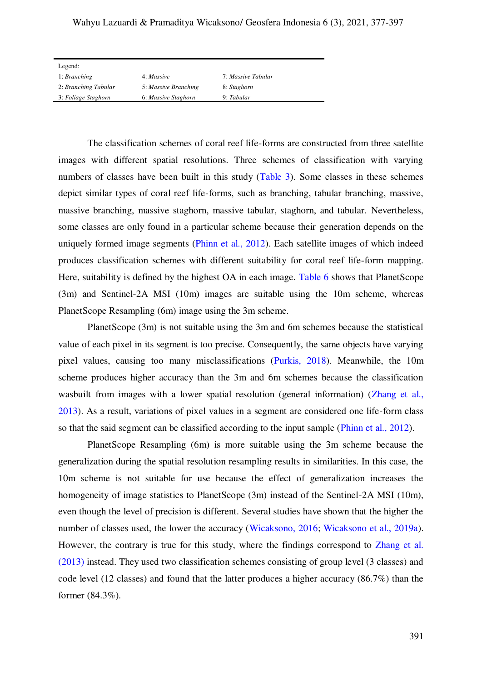# Wahyu Lazuardi & Pramaditya Wicaksono/ Geosfera Indonesia 6 (3), 2021, 377-397

| Legend:              |                      |                    |
|----------------------|----------------------|--------------------|
| 1: Branching         | 4: Massive           | 7: Massive Tabular |
| 2: Branching Tabular | 5: Massive Branching | 8: Staghorn        |
| 3: Foliage Staghorn  | 6: Massive Staghorn  | 9: Tabular         |

The classification schemes of coral reef life-forms are constructed from three satellite images with different spatial resolutions. Three schemes of classification with varying numbers of classes have been built in this study [\(Table 3\)](#page-8-1). Some classes in these schemes depict similar types of coral reef life-forms, such as branching, tabular branching, massive, massive branching, massive staghorn, massive tabular, staghorn, and tabular. Nevertheless, some classes are only found in a particular scheme because their generation depends on the uniquely formed image segments [\(Phinn et al., 2012\)](#page-18-2). Each satellite images of which indeed produces classification schemes with different suitability for coral reef life-form mapping. Here, suitability is defined by the highest OA in each image. [Table 6](#page-11-0) shows that PlanetScope (3m) and Sentinel-2A MSI (10m) images are suitable using the 10m scheme, whereas PlanetScope Resampling (6m) image using the 3m scheme.

PlanetScope (3m) is not suitable using the 3m and 6m schemes because the statistical value of each pixel in its segment is too precise. Consequently, the same objects have varying pixel values, causing too many misclassifications [\(Purkis, 2018\)](#page-19-10). Meanwhile, the 10m scheme produces higher accuracy than the 3m and 6m schemes because the classification wasbuilt from images with a lower spatial resolution (general information) (Zhang et al., [2013\)](#page-2-0). As a result, variations of pixel values in a segment are considered one life-form class so that the said segment can be classified according to the input sample [\(Phinn et al., 2012\)](#page-18-2).

PlanetScope Resampling (6m) is more suitable using the 3m scheme because the generalization during the spatial resolution resampling results in similarities. In this case, the 10m scheme is not suitable for use because the effect of generalization increases the homogeneity of image statistics to PlanetScope (3m) instead of the Sentinel-2A MSI (10m), even though the level of precision is different. Several studies have shown that the higher the number of classes used, the lower the accuracy [\(Wicaksono, 2016;](#page-19-3) [Wicaksono et al., 2019a\)](#page-19-1). However, the contrary is true for this study, where the findings correspond to [Zhang et al.](#page-2-0)  [\(2013\)](#page-2-0) instead. They used two classification schemes consisting of group level (3 classes) and code level (12 classes) and found that the latter produces a higher accuracy (86.7%) than the former (84.3%).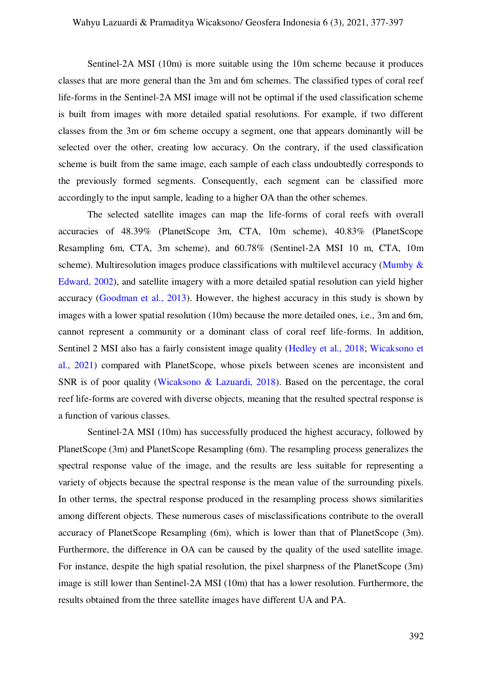Sentinel-2A MSI (10m) is more suitable using the 10m scheme because it produces classes that are more general than the 3m and 6m schemes. The classified types of coral reef life-forms in the Sentinel-2A MSI image will not be optimal if the used classification scheme is built from images with more detailed spatial resolutions. For example, if two different classes from the 3m or 6m scheme occupy a segment, one that appears dominantly will be selected over the other, creating low accuracy. On the contrary, if the used classification scheme is built from the same image, each sample of each class undoubtedly corresponds to the previously formed segments. Consequently, each segment can be classified more accordingly to the input sample, leading to a higher OA than the other schemes.

The selected satellite images can map the life-forms of coral reefs with overall accuracies of 48.39% (PlanetScope 3m, CTA, 10m scheme), 40.83% (PlanetScope Resampling 6m, CTA, 3m scheme), and 60.78% (Sentinel-2A MSI 10 m, CTA, 10m scheme). Multiresolution images produce classifications with multilevel accuracy (Mumby  $\&$ [Edward, 2002\)](#page-18-11), and satellite imagery with a more detailed spatial resolution can yield higher accuracy [\(Goodman et al., 2013\)](#page-17-5). However, the highest accuracy in this study is shown by images with a lower spatial resolution (10m) because the more detailed ones, i.e., 3m and 6m, cannot represent a community or a dominant class of coral reef life-forms. In addition, Sentinel 2 MSI also has a fairly consistent image quality [\(Hedley et al., 2018;](#page-17-9) [Wicaksono et](#page-19-11)  [al., 2021\)](#page-19-11) compared with PlanetScope, whose pixels between scenes are inconsistent and SNR is of poor quality [\(Wicaksono & Lazuardi, 2018\)](#page-19-12). Based on the percentage, the coral reef life-forms are covered with diverse objects, meaning that the resulted spectral response is a function of various classes.

Sentinel-2A MSI (10m) has successfully produced the highest accuracy, followed by PlanetScope (3m) and PlanetScope Resampling (6m). The resampling process generalizes the spectral response value of the image, and the results are less suitable for representing a variety of objects because the spectral response is the mean value of the surrounding pixels. In other terms, the spectral response produced in the resampling process shows similarities among different objects. These numerous cases of misclassifications contribute to the overall accuracy of PlanetScope Resampling (6m), which is lower than that of PlanetScope (3m). Furthermore, the difference in OA can be caused by the quality of the used satellite image. For instance, despite the high spatial resolution, the pixel sharpness of the PlanetScope (3m) image is still lower than Sentinel-2A MSI (10m) that has a lower resolution. Furthermore, the results obtained from the three satellite images have different UA and PA.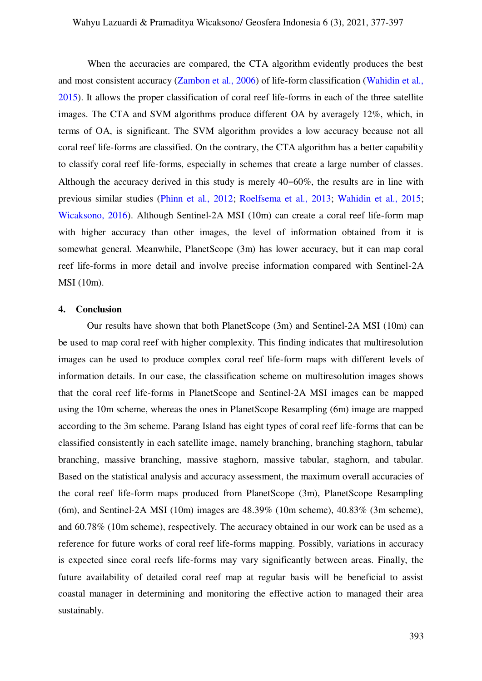When the accuracies are compared, the CTA algorithm evidently produces the best and most consistent accuracy [\(Zambon et al., 2006\)](#page-19-7) of life-form classification [\(Wahidin et al.,](#page-19-8)  [2015\)](#page-19-8). It allows the proper classification of coral reef life-forms in each of the three satellite images. The CTA and SVM algorithms produce different OA by averagely 12%, which, in terms of OA, is significant. The SVM algorithm provides a low accuracy because not all coral reef life-forms are classified. On the contrary, the CTA algorithm has a better capability to classify coral reef life-forms, especially in schemes that create a large number of classes. Although the accuracy derived in this study is merely  $40-60\%$ , the results are in line with previous similar studies [\(Phinn et al., 2012;](#page-18-2) [Roelfsema et al., 2013;](#page-19-2) [Wahidin et al., 2015;](#page-19-8) [Wicaksono, 2016\)](#page-19-3). Although Sentinel-2A MSI (10m) can create a coral reef life-form map with higher accuracy than other images, the level of information obtained from it is somewhat general. Meanwhile, PlanetScope (3m) has lower accuracy, but it can map coral reef life-forms in more detail and involve precise information compared with Sentinel-2A MSI (10m).

#### **4. Conclusion**

Our results have shown that both PlanetScope (3m) and Sentinel-2A MSI (10m) can be used to map coral reef with higher complexity. This finding indicates that multiresolution images can be used to produce complex coral reef life-form maps with different levels of information details. In our case, the classification scheme on multiresolution images shows that the coral reef life-forms in PlanetScope and Sentinel-2A MSI images can be mapped using the 10m scheme, whereas the ones in PlanetScope Resampling (6m) image are mapped according to the 3m scheme. Parang Island has eight types of coral reef life-forms that can be classified consistently in each satellite image, namely branching, branching staghorn, tabular branching, massive branching, massive staghorn, massive tabular, staghorn, and tabular. Based on the statistical analysis and accuracy assessment, the maximum overall accuracies of the coral reef life-form maps produced from PlanetScope (3m), PlanetScope Resampling (6m), and Sentinel-2A MSI (10m) images are 48.39% (10m scheme), 40.83% (3m scheme), and 60.78% (10m scheme), respectively. The accuracy obtained in our work can be used as a reference for future works of coral reef life-forms mapping. Possibly, variations in accuracy is expected since coral reefs life-forms may vary significantly between areas. Finally, the future availability of detailed coral reef map at regular basis will be beneficial to assist coastal manager in determining and monitoring the effective action to managed their area sustainably.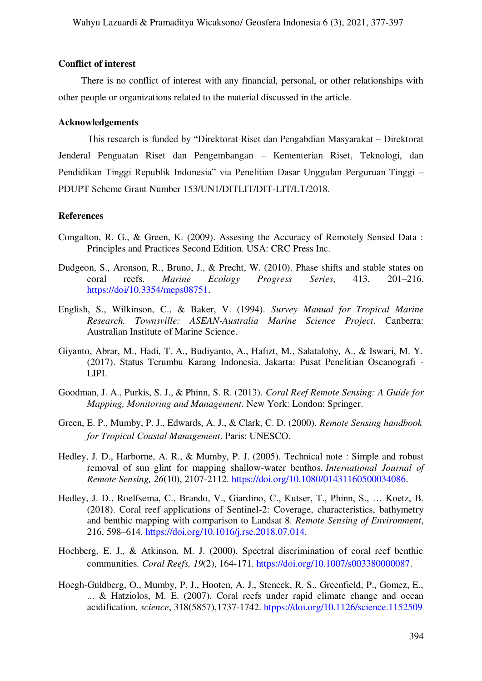#### **Conflict of interest**

There is no conflict of interest with any financial, personal, or other relationships with other people or organizations related to the material discussed in the article.

#### **Acknowledgements**

This research is funded by "Direktorat Riset dan Pengabdian Masyarakat – Direktorat Jenderal Penguatan Riset dan Pengembangan – Kementerian Riset, Teknologi, dan Pendidikan Tinggi Republik Indonesia" via Penelitian Dasar Unggulan Perguruan Tinggi – PDUPT Scheme Grant Number 153/UN1/DITLIT/DIT-LIT/LT/2018.

#### **References**

- <span id="page-17-6"></span>Congalton, R. G., & Green, K. (2009). Assesing the Accuracy of Remotely Sensed Data : Principles and Practices Second Edition. USA: CRC Press Inc.
- <span id="page-17-2"></span>Dudgeon, S., Aronson, R., Bruno, J., & Precht, W. (2010). Phase shifts and stable states on coral reefs. *Marine Ecology Progress Series*, 413, 201–216. [https://doi/10.3354/meps08751.](http://www.int-res.com/abstracts/meps/v413/p201-216/)
- <span id="page-17-8"></span>English, S., Wilkinson, C., & Baker, V. (1994). *Survey Manual for Tropical Marine Research. Townsville: ASEAN-Australia Marine Science Project*. Canberra: Australian Institute of Marine Science.
- <span id="page-17-0"></span>Giyanto, Abrar, M., Hadi, T. A., Budiyanto, A., Hafizt, M., Salatalohy, A., & Iswari, M. Y. (2017). Status Terumbu Karang Indonesia. Jakarta: Pusat Penelitian Oseanografi - LIPI.
- <span id="page-17-5"></span>Goodman, J. A., Purkis, S. J., & Phinn, S. R. (2013). *Coral Reef Remote Sensing: A Guide for Mapping, Monitoring and Management*. New York: London: Springer.
- <span id="page-17-3"></span>Green, E. P., Mumby, P. J., Edwards, A. J., & Clark, C. D. (2000). *Remote Sensing handbook for Tropical Coastal Management*. Paris: UNESCO.
- <span id="page-17-4"></span>Hedley, J. D., Harborne, A. R., & Mumby, P. J. (2005). Technical note : Simple and robust removal of sun glint for mapping shallow-water benthos. *International Journal of Remote Sensing, 26*(10), 2107-2112. [https://doi.org/10.1080/01431160500034086.](https://www.tandfonline.com/doi/full/10.1080/01431160500034086)
- <span id="page-17-9"></span>Hedley, J. D., Roelfsema, C., Brando, V., Giardino, C., Kutser, T., Phinn, S., … Koetz, B. (2018). Coral reef applications of Sentinel-2: Coverage, characteristics, bathymetry and benthic mapping with comparison to Landsat 8. *Remote Sensing of Environment*, 216, 598–614. [https://doi.org/10.1016/j.rse.2018.07.014.](https://www.sciencedirect.com/science/article/pii/S003442571830347X?via%3Dihub)
- <span id="page-17-7"></span>Hochberg, E. J., & Atkinson, M. J. (2000). Spectral discrimination of coral reef benthic communities. *Coral Reefs, 19*(2), 164-171. [https://doi.org/10.1007/s003380000087.](https://link.springer.com/article/10.1007%2Fs003380000087)
- <span id="page-17-1"></span>Hoegh-Guldberg, O., Mumby, P. J., Hooten, A. J., Steneck, R. S., Greenfield, P., Gomez, E., ... & Hatziolos, M. E. (2007). Coral reefs under rapid climate change and ocean acidification. *science*, 318(5857),1737-1742[. htpps://doi.org/10.1126/science.1152509](https://www.science.org/doi/10.1126/science.1152509)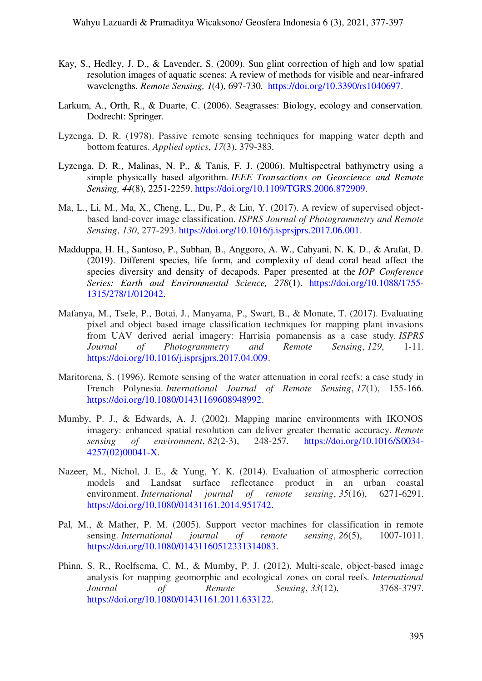- <span id="page-18-4"></span>Kay, S., Hedley, J. D., & Lavender, S. (2009). Sun glint correction of high and low spatial resolution images of aquatic scenes: A review of methods for visible and near-infrared wavelengths. *Remote Sensing, 1*(4), 697-730. [https://doi.org/10.3390/rs1040697.](https://www.mdpi.com/2072-4292/1/4/697)
- <span id="page-18-0"></span>Larkum, A., Orth, R., & Duarte, C. (2006). Seagrasses: Biology, ecology and conservation. Dodrecht: Springer.
- <span id="page-18-7"></span>Lyzenga, D. R. (1978). Passive remote sensing techniques for mapping water depth and bottom features. *Applied optics*, *17*(3), 379-383.
- <span id="page-18-5"></span>Lyzenga, D. R., Malinas, N. P., & Tanis, F. J. (2006). Multispectral bathymetry using a simple physically based algorithm. *IEEE Transactions on Geoscience and Remote Sensing, 44*(8), 2251-2259. [https://doi.org/10.1109/TGRS.2006.872909.](https://ieeexplore.ieee.org/document/1661813)
- <span id="page-18-8"></span>Ma, L., Li, M., Ma, X., Cheng, L., Du, P., & Liu, Y. (2017). A review of supervised objectbased land-cover image classification. *ISPRS Journal of Photogrammetry and Remote Sensing*, *130*, 277-293. [https://doi.org/10.1016/j.isprsjprs.2017.06.001.](https://www.sciencedirect.com/science/article/pii/S092427161630661X)
- <span id="page-18-1"></span>Madduppa, H. H., Santoso, P., Subhan, B., Anggoro, A. W., Cahyani, N. K. D., & Arafat, D. (2019). Different species, life form, and complexity of dead coral head affect the species diversity and density of decapods. Paper presented at the *IOP Conference Series: Earth and Environmental Science, 278*(1). [https://doi.org/10.1088/1755-](https://iopscience.iop.org/article/10.1088/1755-1315/278/1/012042) [1315/278/1/012042.](https://iopscience.iop.org/article/10.1088/1755-1315/278/1/012042)
- <span id="page-18-10"></span>Mafanya, M., Tsele, P., Botai, J., Manyama, P., Swart, B., & Monate, T. (2017). Evaluating pixel and object based image classification techniques for mapping plant invasions from UAV derived aerial imagery: Harrisia pomanensis as a case study. *ISPRS Journal of Photogrammetry and Remote Sensing*, *129*, 1-11. [https://doi.org/10.1016/j.isprsjprs.2017.04.009.](https://www.sciencedirect.com/science/article/abs/pii/S0924271616304944)
- <span id="page-18-6"></span>Maritorena, S. (1996). Remote sensing of the water attenuation in coral reefs: a case study in French Polynesia. *International Journal of Remote Sensing*, *17*(1), 155-166. [https://doi.org/10.1080/01431169608948992.](https://www.tandfonline.com/doi/abs/10.1080/01431169608948992)
- <span id="page-18-11"></span>Mumby, P. J., & Edwards, A. J. (2002). Mapping marine environments with IKONOS imagery: enhanced spatial resolution can deliver greater thematic accuracy. *Remote sensing of environment*, *82*(2-3), 248-257. [https://doi.org/10.1016/S0034-](https://www.sciencedirect.com/science/article/abs/pii/S003442570200041X) [4257\(02\)00041-X.](https://www.sciencedirect.com/science/article/abs/pii/S003442570200041X)
- <span id="page-18-3"></span>Nazeer, M., Nichol, J. E., & Yung, Y. K. (2014). Evaluation of atmospheric correction models and Landsat surface reflectance product in an urban coastal environment. *International journal of remote sensing*, *35*(16), 6271-6291. [https://doi.org/10.1080/01431161.2014.951742.](https://www.tandfonline.com/doi/abs/10.1080/01431161.2014.951742)
- <span id="page-18-9"></span>Pal, M., & Mather, P. M. (2005). Support vector machines for classification in remote sensing. *International journal of remote sensing*, *26*(5), 1007-1011. [https://doi.org/10.1080/01431160512331314083.](https://www.tandfonline.com/doi/abs/10.1080/01431160512331314083)
- <span id="page-18-2"></span>Phinn, S. R., Roelfsema, C. M., & Mumby, P. J. (2012). Multi-scale, object-based image analysis for mapping geomorphic and ecological zones on coral reefs. *International Journal of Remote Sensing*, *33*(12), 3768-3797. [https://doi.org/10.1080/01431161.2011.633122.](https://www.tandfonline.com/doi/abs/10.1080/01431161.2011.633122)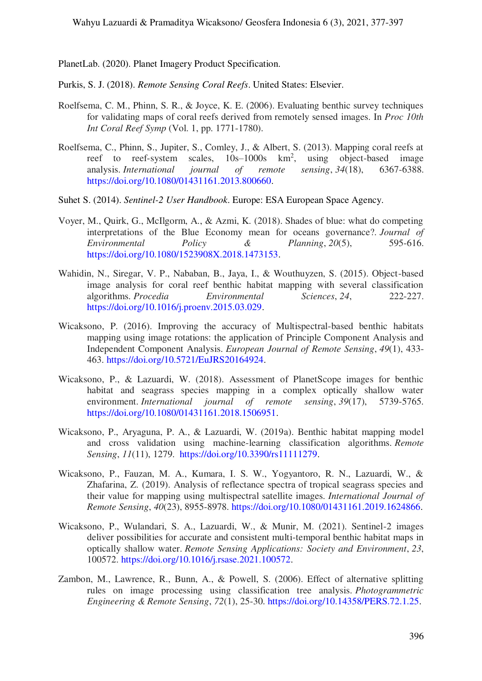<span id="page-19-5"></span>PlanetLab. (2020). Planet Imagery Product Specification.

- <span id="page-19-10"></span>Purkis, S. J. (2018). *Remote Sensing Coral Reefs*. United States: Elsevier.
- <span id="page-19-6"></span>Roelfsema, C. M., Phinn, S. R., & Joyce, K. E. (2006). Evaluating benthic survey techniques for validating maps of coral reefs derived from remotely sensed images. In *Proc 10th Int Coral Reef Symp* (Vol. 1, pp. 1771-1780).
- <span id="page-19-2"></span>Roelfsema, C., Phinn, S., Jupiter, S., Comley, J., & Albert, S. (2013). Mapping coral reefs at reef to reef-system scales,  $10s-1000s$  km<sup>2</sup>, using object-based image analysis. *International journal of remote sensing*, *34*(18), 6367-6388. [https://doi.org/10.1080/01431161.2013.800660.](https://www.tandfonline.com/doi/abs/10.1080/01431161.2013.800660)
- <span id="page-19-4"></span>Suhet S. (2014). *Sentinel-2 User Handbook*. Europe: ESA European Space Agency.
- <span id="page-19-0"></span>Voyer, M., Quirk, G., McIlgorm, A., & Azmi, K. (2018). Shades of blue: what do competing interpretations of the Blue Economy mean for oceans governance?. *Journal of Environmental Policy & Planning*, *20*(5), 595-616. [https://doi.org/10.1080/1523908X.2018.1473153.](https://www.tandfonline.com/doi/abs/10.1080/1523908X.2018.1473153)
- <span id="page-19-8"></span>Wahidin, N., Siregar, V. P., Nababan, B., Jaya, I., & Wouthuyzen, S. (2015). Object-based image analysis for coral reef benthic habitat mapping with several classification algorithms. *Procedia Environmental Sciences*, *24*, 222-227. [https://doi.org/10.1016/j.proenv.2015.03.029.](https://www.sciencedirect.com/science/article/pii/S1878029615000973)
- <span id="page-19-3"></span>Wicaksono, P. (2016). Improving the accuracy of Multispectral-based benthic habitats mapping using image rotations: the application of Principle Component Analysis and Independent Component Analysis. *European Journal of Remote Sensing*, *49*(1), 433- 463. [https://doi.org/10.5721/EuJRS20164924.](https://www.tandfonline.com/doi/abs/10.5721/EuJRS20164924)
- <span id="page-19-12"></span>Wicaksono, P., & Lazuardi, W. (2018). Assessment of PlanetScope images for benthic habitat and seagrass species mapping in a complex optically shallow water environment. *International journal of remote sensing*, *39*(17), 5739-5765. [https://doi.org/10.1080/01431161.2018.1506951.](https://www.tandfonline.com/doi/abs/10.1080/01431161.2018.1506951)
- <span id="page-19-1"></span>Wicaksono, P., Aryaguna, P. A., & Lazuardi, W. (2019a). Benthic habitat mapping model and cross validation using machine-learning classification algorithms. *Remote Sensing*, *11*(11), 1279. [https://doi.org/10.3390/rs11111279.](https://www.mdpi.com/2072-4292/11/11/1279)
- <span id="page-19-9"></span>Wicaksono, P., Fauzan, M. A., Kumara, I. S. W., Yogyantoro, R. N., Lazuardi, W., & Zhafarina, Z. (2019). Analysis of reflectance spectra of tropical seagrass species and their value for mapping using multispectral satellite images. *International Journal of Remote Sensing*, *40*(23), 8955-8978. [https://doi.org/10.1080/01431161.2019.1624866.](https://www.tandfonline.com/doi/abs/10.1080/01431161.2019.1624866)
- <span id="page-19-11"></span>Wicaksono, P., Wulandari, S. A., Lazuardi, W., & Munir, M. (2021). Sentinel-2 images deliver possibilities for accurate and consistent multi-temporal benthic habitat maps in optically shallow water. *Remote Sensing Applications: Society and Environment*, *23*, 100572. [https://doi.org/10.1016/j.rsase.2021.100572.](https://www.sciencedirect.com/science/article/abs/pii/S2352938521001087)
- <span id="page-19-7"></span>Zambon, M., Lawrence, R., Bunn, A., & Powell, S. (2006). Effect of alternative splitting rules on image processing using classification tree analysis. *Photogrammetric Engineering & Remote Sensing*, *72*(1), 25-30. [https://doi.org/10.14358/PERS.72.1.25.](https://www.ingentaconnect.com/content/asprs/pers/2006/00000072/00000001/art00001)